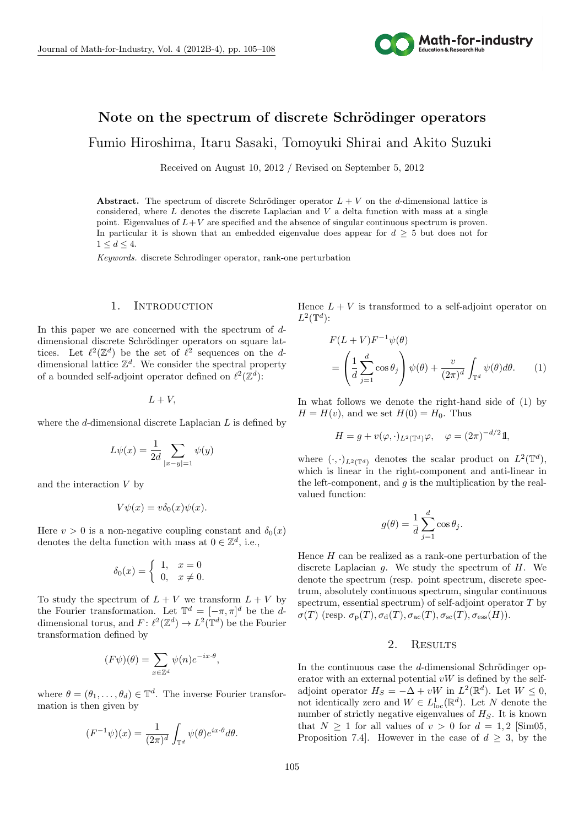

# Note on the spectrum of discrete Schrödinger operators

Fumio Hiroshima, Itaru Sasaki, Tomoyuki Shirai and Akito Suzuki

Received on August 10, 2012 / Revised on September 5, 2012

**Abstract.** The spectrum of discrete Schrödinger operator  $L + V$  on the *d*-dimensional lattice is considered, where *L* denotes the discrete Laplacian and *V* a delta function with mass at a single point. Eigenvalues of  $L + V$  are specified and the absence of singular continuous spectrum is proven. In particular it is shown that an embedded eigenvalue does appear for  $d \geq 5$  but does not for  $1 \leq d \leq 4$ .

*Keywords.* discrete Schrodinger operator, rank-one perturbation

### 1. INTRODUCTION

In this paper we are concerned with the spectrum of *d*dimensional discrete Schrödinger operators on square lattices. Let  $\ell^2(\mathbb{Z}^d)$  be the set of  $\ell^2$  sequences on the *d*dimensional lattice  $\mathbb{Z}^d$ . We consider the spectral property of a bounded self-adjoint operator defined on  $\ell^2(\mathbb{Z}^d)$ :

 $L + V$ ,

where the *d*-dimensional discrete Laplacian *L* is defined by

$$
L\psi(x) = \frac{1}{2d} \sum_{|x-y|=1} \psi(y)
$$

and the interaction *V* by

$$
V\psi(x) = v\delta_0(x)\psi(x).
$$

Here  $v > 0$  is a non-negative coupling constant and  $\delta_0(x)$ denotes the delta function with mass at  $0 \in \mathbb{Z}^d$ , i.e.,

$$
\delta_0(x) = \begin{cases} 1, & x = 0 \\ 0, & x \neq 0. \end{cases}
$$

To study the spectrum of  $L + V$  we transform  $L + V$  by the Fourier transformation. Let  $\mathbb{T}^d = [-\pi, \pi]^d$  be the *d*dimensional torus, and  $F: \ell^2(\mathbb{Z}^d) \to L^2(\mathbb{T}^d)$  be the Fourier transformation defined by

$$
(F\psi)(\theta) = \sum_{x \in \mathbb{Z}^d} \psi(n) e^{-ix \cdot \theta},
$$

where  $\theta = (\theta_1, \dots, \theta_d) \in \mathbb{T}^d$ . The inverse Fourier transformation is then given by

$$
(F^{-1}\psi)(x) = \frac{1}{(2\pi)^d} \int_{\mathbb{T}^d} \psi(\theta) e^{ix \cdot \theta} d\theta.
$$

Hence  $L + V$  is transformed to a self-adjoint operator on  $L^2(\mathbb{T}^d)$ :

$$
F(L + V)F^{-1}\psi(\theta)
$$
  
=  $\left(\frac{1}{d}\sum_{j=1}^{d}\cos\theta_{j}\right)\psi(\theta) + \frac{v}{(2\pi)^{d}}\int_{\mathbb{T}^{d}}\psi(\theta)d\theta.$  (1)

In what follows we denote the right-hand side of (1) by  $H = H(v)$ , and we set  $H(0) = H_0$ . Thus

$$
H = g + v(\varphi, \cdot)_{L^2(\mathbb{T}^d)}\varphi, \quad \varphi = (2\pi)^{-d/2}1,
$$

where  $(\cdot, \cdot)_{L^2(\mathbb{T}^d)}$  denotes the scalar product on  $L^2(\mathbb{T}^d)$ , which is linear in the right-component and anti-linear in the left-component, and  $g$  is the multiplication by the realvalued function:

$$
g(\theta) = \frac{1}{d} \sum_{j=1}^{d} \cos \theta_j.
$$

Hence *H* can be realized as a rank-one perturbation of the discrete Laplacian *g*. We study the spectrum of *H*. We denote the spectrum (resp. point spectrum, discrete spectrum, absolutely continuous spectrum, singular continuous spectrum, essential spectrum) of self-adjoint operator *T* by  $\sigma(T)$  (resp.  $\sigma_p(T), \sigma_d(T), \sigma_{ac}(T), \sigma_{sc}(T), \sigma_{ess}(H)$ ).

## 2. Results

In the continuous case the *d*-dimensional Schrödinger operator with an external potential *vW* is defined by the selfadjoint operator  $H_S = -\Delta + vW$  in  $L^2(\mathbb{R}^d)$ . Let  $W \leq 0$ , not identically zero and  $W \in L^1_{loc}(\mathbb{R}^d)$ . Let *N* denote the number of strictly negative eigenvalues of *HS*. It is known that  $N > 1$  for all values of  $v > 0$  for  $d = 1, 2$  [Sim05, Proposition 7.4. However in the case of  $d \geq 3$ , by the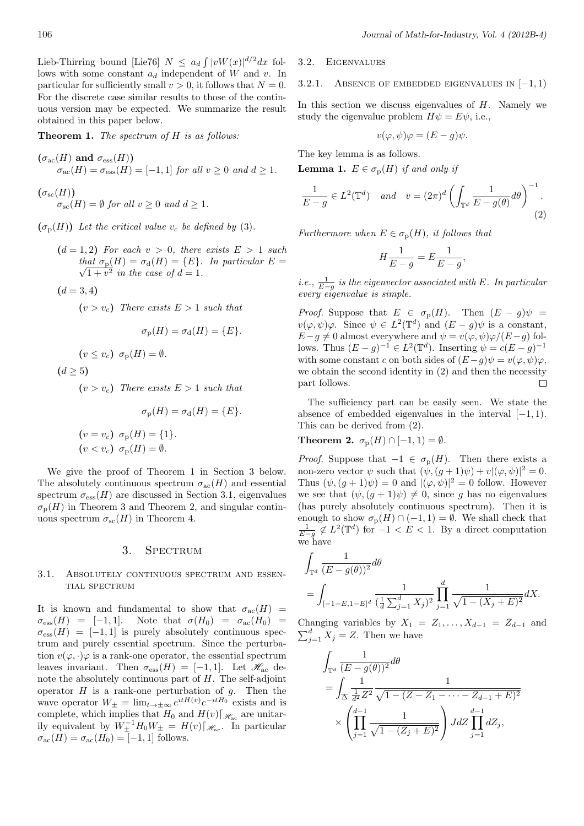Lieb-Thirring bound [Lie76]  $N \leq a_d \int |vW(x)|^{d/2} dx$  follows with some constant *a<sup>d</sup>* independent of *W* and *v*. In particular for sufficiently small  $v > 0$ , it follows that  $N = 0$ . For the discrete case similar results to those of the continuous version may be expected. We summarize the result obtained in this paper below.

**Theorem 1.** *The spectrum of H is as follows:*

$$
(\sigma_{\text{ac}}(H) \text{ and } \sigma_{\text{ess}}(H))
$$
  

$$
\sigma_{\text{ac}}(H) = \sigma_{\text{ess}}(H) = [-1, 1] \text{ for all } v \ge 0 \text{ and } d \ge 1.
$$

 $(\sigma_{\rm sc}(H))$  $\sigma_{\rm sc}(H) = \emptyset$  *for all*  $v \geq 0$  *and*  $d \geq 1$ *.* 

 $(\sigma_{\rm p}(H))$  *Let the critical value*  $v_c$  *be defined by* (3)*.* 

 $(d = 1, 2)$  *For each*  $v > 0$ *, there exists*  $E > 1$  *such that*  $\sigma_{\rm p}(H) = \sigma_{\rm d}(H) = \{E\}$ *. In particular*  $E =$  $1 + v^2$  *in the case of*  $d = 1$ *.* 

$$
(d=3,4)
$$

 $(v > v_c)$  *There exists*  $E > 1$  *such that* 

$$
\sigma_{\rm p}(H) = \sigma_{\rm d}(H) = \{E\}.
$$
  

$$
v_{\rm c}) \ \sigma_{\rm p}(H) = \emptyset.
$$

 $(d > 5)$ 

 $(v \leq$ 

 $(v > v_c)$  *There exists*  $E > 1$  *such that* 

$$
\sigma_{\rm p}(H) = \sigma_{\rm d}(H) = \{E\}.
$$
  
( $v = v_c$ )  $\sigma_{\rm p}(H) = \{1\}.$   
( $v < v_c$ )  $\sigma_{\rm p}(H) = \emptyset.$ 

We give the proof of Theorem 1 in Section 3 below. The absolutely continuous spectrum  $\sigma_{ac}(H)$  and essential spectrum  $\sigma_{\text{ess}}(H)$  are discussed in Section 3.1, eigenvalues  $\sigma_{\rm p}(H)$  in Theorem 3 and Theorem 2, and singular continuous spectrum  $\sigma_{\rm sc}(H)$  in Theorem 4.

## 3. SPECTRUM

### 3.1. Absolutely continuous spectrum and essen-TIAL SPECTRUM

It is known and fundamental to show that  $\sigma_{ac}(H)$  =  $\sigma_{\rm ess}(H) = [-1, 1].$  Note that  $\sigma(H_0) = \sigma_{\rm ac}(H_0) =$  $\sigma_{\rm ess}(H) = [-1, 1]$  is purely absolutely continuous spectrum and purely essential spectrum. Since the perturbation  $v(\varphi, \cdot)\varphi$  is a rank-one operator, the essential spectrum leaves invariant. Then  $\sigma_{\text{ess}}(H) = [-1, 1]$ . Let  $\mathcal{H}_{\text{ac}}$  denote the absolutely continuous part of *H*. The self-adjoint operator *H* is a rank-one perturbation of *g*. Then the wave operator  $W_{\pm} = \lim_{t \to \pm \infty} e^{itH(v)} e^{-itH_0}$  exists and is complete, which implies that  $H_0$  and  $H(v)[\mathcal{H}_{\text{ac}}]$  are unitarily equivalent by  $W_{\pm}^{-1}H_0W_{\pm} = H(v)[\mathscr{H}_{ac}$ . In particular  $\sigma_{\rm ac}(H) = \sigma_{\rm ac}(H_0) = [-1, 1]$  follows.

## 3.2. Eigenvalues

## 3.2.1. Absence of embedded eigenvalues in [*−*1*,* 1)

In this section we discuss eigenvalues of *H*. Namely we study the eigenvalue problem  $H\psi = E\psi$ , i.e.,

$$
v(\varphi, \psi)\varphi = (E - g)\psi.
$$

The key lemma is as follows.

**Lemma 1.**  $E \in \sigma_p(H)$  *if and only if* 

$$
\frac{1}{E-g} \in L^2(\mathbb{T}^d) \quad and \quad v = (2\pi)^d \left( \int_{\mathbb{T}^d} \frac{1}{E-g(\theta)} d\theta \right)^{-1}.
$$
\n(2)

*Furthermore when*  $E \in \sigma_p(H)$ *, it follows that* 

$$
H\frac{1}{E-g} = E\frac{1}{E-g},
$$

*i.e.*,  $\frac{1}{E-g}$  is the eigenvector associated with *E. In particular every eigenvalue is simple.*

*Proof.* Suppose that  $E \in \sigma_{p}(H)$ . Then  $(E - g)\psi =$  $v(\varphi, \psi)\varphi$ . Since  $\psi \in L^2(\mathbb{T}^d)$  and  $(E - g)\psi$  is a constant, *E−g*  $\neq$  0 almost everywhere and  $\psi = v(\varphi, \psi) \varphi / (E - g)$  follows. Thus  $(E - g)^{-1} \in L^2(\mathbb{T}^d)$ . Inserting  $\psi = c(E - g)^{-1}$ with some constant *c* on both sides of  $(E-q)\psi = v(\varphi, \psi)\varphi$ , we obtain the second identity in (2) and then the necessity part follows.  $\Box$ 

The sufficiency part can be easily seen. We state the absence of embedded eigenvalues in the interval [*−*1*,* 1). This can be derived from (2).

**Theorem 2.**  $\sigma_p(H) \cap [-1, 1) = \emptyset$ .

*Proof.* Suppose that  $-1 \in \sigma_p(H)$ . Then there exists a non-zero vector  $\psi$  such that  $(\psi, (g+1)\psi) + v |(\varphi, \psi)|^2 = 0$ . Thus  $(\psi, (g+1)\psi) = 0$  and  $|(\varphi, \psi)|^2 = 0$  follow. However we see that  $(\psi, (g+1)\psi) \neq 0$ , since *g* has no eigenvalues (has purely absolutely continuous spectrum). Then it is enough to show  $\sigma_p(H) \cap (-1,1) = \emptyset$ . We shall check that  $\frac{1}{E-q}$  ∉  $L^2(\mathbb{T}^d)$  for  $-1 < E < 1$ . By a direct computation we have

$$
\begin{split} & \int_{\mathbb{T}^d} \frac{1}{(E-g(\theta))^2} d\theta \\ & = \int_{[-1-E,1-E]^d} \frac{1}{(\frac{1}{d}\sum_{j=1}^d X_j)^2} \prod_{j=1}^d \frac{1}{\sqrt{1-(X_j+E)^2}} dX. \end{split}
$$

Changing variables by  $X_1 = Z_1, \ldots, X_{d-1} = Z_{d-1}$  and  $\sum_{j=1}^{d} X_j = Z$ . Then we have

$$
\int_{\mathbb{T}^d} \frac{1}{(E - g(\theta))^2} d\theta
$$
\n
$$
= \int_{\Delta} \frac{1}{\frac{1}{d^2} Z^2} \frac{1}{\sqrt{1 - (Z - Z_1 - \dots - Z_{d-1} + E)^2}}
$$
\n
$$
\times \left( \prod_{j=1}^{d-1} \frac{1}{\sqrt{1 - (Z_j + E)^2}} \right) J dZ \prod_{j=1}^{d-1} dZ_j,
$$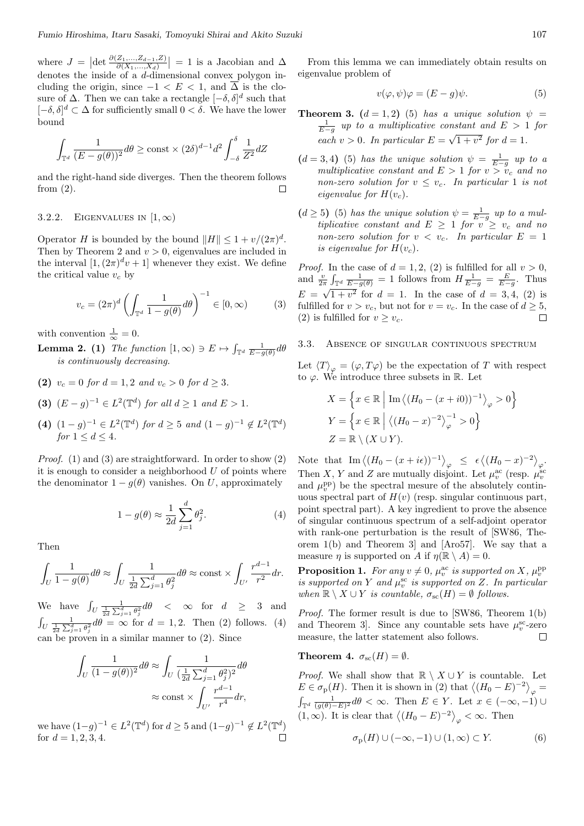where  $J = |\det \frac{\partial (Z_1,...,Z_{d-1},Z)}{\partial (X_1,...,X_d)}| = 1$  is a Jacobian and  $\Delta$  denotes the inside of a *d*-dimensional convex polygon including the origin, since  $-1 < E < 1$ , and  $\overline{\Delta}$  is the closure of  $\Delta$ . Then we can take a rectangle  $[-\delta, \delta]^d$  such that [*−δ, δ*] *<sup>d</sup> ⊂* ∆ for sufficiently small 0 *< δ*. We have the lower bound

$$
\int_{\mathbb{T}^d} \frac{1}{(E - g(\theta))^2} d\theta \ge \text{const} \times (2\delta)^{d-1} d^2 \int_{-\delta}^{\delta} \frac{1}{Z^2} dZ
$$

and the right-hand side diverges. Then the theorem follows from  $(2)$ .  $\Box$ 

#### 3.2.2. EIGENVALUES IN  $[1, \infty)$

Operator *H* is bounded by the bound  $||H|| \leq 1 + v/(2\pi)^d$ . Then by Theorem 2 and  $v > 0$ , eigenvalues are included in the interval  $[1,(2\pi)^d v + 1]$  whenever they exist. We define the critical value  $v_c$  by

$$
v_c = (2\pi)^d \left( \int_{\mathbb{T}^d} \frac{1}{1 - g(\theta)} d\theta \right)^{-1} \in [0, \infty)
$$
 (3)

with convention  $\frac{1}{\infty} = 0$ .

**Lemma 2. (1)** *The function*  $[1, \infty) \ni E \mapsto \int_{\mathbb{T}^d} \frac{1}{E - g(\theta)} d\theta$ *is continuously decreasing.*

- (2)  $v_c = 0$  *for*  $d = 1, 2$  *and*  $v_c > 0$  *for*  $d > 3$ *.*
- **(3)**  $(E g)^{-1} \in L^2(\mathbb{T}^d)$  *for all*  $d \ge 1$  *and*  $E > 1$ *.*
- **(4)**  $(1-g)^{-1} \in L^2(\mathbb{T}^d)$  *for*  $d \geq 5$  *and*  $(1-g)^{-1} \notin L^2(\mathbb{T}^d)$ *for*  $1 \leq d \leq 4$ *.*

*Proof.* (1) and (3) are straightforward. In order to show (2) it is enough to consider a neighborhood *U* of points where the denominator  $1 - g(\theta)$  vanishes. On *U*, approximately

$$
1 - g(\theta) \approx \frac{1}{2d} \sum_{j=1}^{d} \theta_j^2.
$$
 (4)

Then

$$
\int_U \frac{1}{1 - g(\theta)} d\theta \approx \int_U \frac{1}{\frac{1}{2d} \sum_{j=1}^d \theta_j^2} d\theta \approx \text{const} \times \int_{U'} \frac{r^{d-1}}{r^2} dr.
$$

We have  $\int_U \frac{1}{\frac{1}{2d} \sum_{j=1}^d \theta_j^2} d\theta \leq \infty$  for  $d \geq 3$  and  $\int_U \frac{1}{\frac{1}{2d} \sum_{j=1}^d \theta_j^2} d\theta = \infty$  for  $d = 1, 2$ . Then (2) follows. (4) can be proven in a similar manner to (2). Since

$$
\int_{U} \frac{1}{(1 - g(\theta))^2} d\theta \approx \int_{U} \frac{1}{(\frac{1}{2d} \sum_{j=1}^{d} \theta_j^2)^2} d\theta
$$

$$
\approx \text{const} \times \int_{U'} \frac{r^{d-1}}{r^4} dr,
$$

we have  $(1-q)^{-1}$  ∈  $L^2(\mathbb{T}^d)$  for  $d \ge 5$  and  $(1-q)^{-1} \notin L^2(\mathbb{T}^d)$ for  $d = 1, 2, 3, 4$ .

From this lemma we can immediately obtain results on eigenvalue problem of

$$
v(\varphi, \psi)\varphi = (E - g)\psi.
$$
 (5)

**Theorem 3.**  $(d = 1, 2)$  (5) *has a unique solution*  $\psi$ 1 *E−g up to a multiplicative constant and E >* 1 *for each*  $v > 0$ *. In particular*  $E =$ *√*  $1 + v^2$  *for*  $d = 1$ *.* 

- $(d = 3, 4)$  (5) *has the unique solution*  $\psi = \frac{1}{E-g}$  *up to a multiplicative constant and*  $E > 1$  *for*  $v > v_c$  *and no non-zero solution for*  $v \leq v_c$ *. In particular* 1 *is not eigenvalue for*  $H(v_c)$ *.*
- $(d \geq 5)$  (5) *has the unique solution*  $\psi = \frac{1}{E-g}$  *up to a multiplicative constant and*  $E \geq 1$  *for*  $v \geq v_c$  *and no non-zero solution for*  $v < v_c$ *. In particular*  $E = 1$ *is eigenvalue for*  $H(v_c)$ *.*

*Proof.* In the case of  $d = 1, 2, (2)$  is fulfilled for all  $v > 0$ , and  $\frac{v}{2\pi} \int_{\mathbb{T}^d} \frac{1}{E - g(\theta)} = 1$  follows from  $H \frac{1}{E - g} = \frac{E}{E - g}$ . Thus  $E = \sqrt{1 + v^2}$  for  $d = 1$ . In the case of  $d = 3, 4, (2)$  is fulfilled for  $v > v_c$ , but not for  $v = v_c$ . In the case of  $d \geq 5$ , (2) is fulfilled for  $v \geq v_c$ .  $\Box$ 

#### 3.3. Absence of singular continuous spectrum

Let  $\langle T \rangle_{\varphi} = (\varphi, T\varphi)$  be the expectation of *T* with respect to  $\varphi$ . We introduce three subsets in R. Let

$$
X = \left\{ x \in \mathbb{R} \mid \text{Im} \left\langle (H_0 - (x + i0))^{-1} \right\rangle_{\varphi} > 0 \right\}
$$
  
\n
$$
Y = \left\{ x \in \mathbb{R} \mid \left\langle (H_0 - x)^{-2} \right\rangle_{\varphi}^{-1} > 0 \right\}
$$
  
\n
$$
Z = \mathbb{R} \setminus (X \cup Y).
$$

Note that  $\text{Im}\left\langle (H_0 - (x + i\epsilon))^{-1} \right\rangle_{\varphi} \leq \epsilon \left\langle (H_0 - x)^{-2} \right\rangle_{\varphi}.$ Then *X*, *Y* and *Z* are mutually disjoint. Let  $\mu_v^{\text{ac}}$  (resp.  $\mu_v^{\text{sc}}$ and  $\mu_v^{\rm pp}$ ) be the spectral mesure of the absolutely continuous spectral part of  $H(v)$  (resp. singular continuous part, point spectral part). A key ingredient to prove the absence of singular continuous spectrum of a self-adjoint operator with rank-one perturbation is the result of [SW86, Theorem 1(b) and Theorem 3] and [Aro57]. We say that a measure *η* is supported on *A* if  $\eta(\mathbb{R} \setminus A) = 0$ .

**Proposition 1.** For any  $v \neq 0$ ,  $\mu_v^{\text{ac}}$  is supported on X,  $\mu_v^{\text{pp}}$ *is supported on*  $Y$  *and*  $\mu_v^{\text{sc}}$  *is supported on*  $Z$ *. In particular when*  $\mathbb{R} \setminus X \cup Y$  *is countable,*  $\sigma_{\rm sc}(H) = \emptyset$  *follows.* 

*Proof.* The former result is due to [SW86, Theorem 1(b) and Theorem 3]. Since any countable sets have  $\mu_v^{\text{sc}}$ -zero measure, the latter statement also follows.  $\Box$ 

**Theorem 4.**  $\sigma_{\rm sc}(H) = \emptyset$ .

*Proof.* We shall show that  $\mathbb{R} \setminus X \cup Y$  is countable. Let  $E \in \sigma_{\rm p}(H)$ . Then it is shown in (2) that  $\langle (H_0 - E)^{-2} \rangle_{\varphi} =$  $\int_{\mathbb{T}^d} \frac{1}{(g(\theta)-E)^2} d\theta < \infty$ . Then  $E \in Y$ . Let  $x \in (-\infty, -1) \cup$ (1, ∞). It is clear that  $\langle (H_0 - E)^{-2} \rangle_{\varphi} < \infty$ . Then

$$
\sigma_{\mathbf{p}}(H) \cup (-\infty, -1) \cup (1, \infty) \subset Y.
$$
 (6)